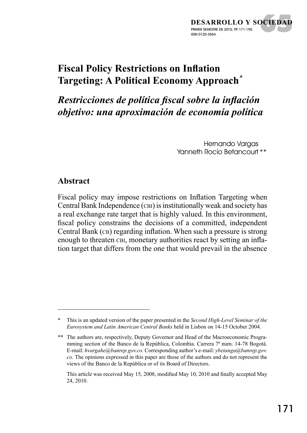

# **Fiscal Policy Restrictions on Inflation Targeting: A Political Economy Approach***\**

*Restricciones de política fiscal sobre la inflación objetivo: una aproximación de economía política*

> Hernando Varaas Yanneth Rocío Betancourt \*\*

#### **Abstract**

Fiscal policy may impose restrictions on Inflation Targeting when Central Bank Independence (cbi) is institutionally weak and society has a real exchange rate target that is highly valued. In this environment, fiscal policy constrains the decisions of a committed, independent Central Bank (CB) regarding inflation. When such a pressure is strong enough to threaten CBI, monetary authorities react by setting an inflation target that differs from the one that would prevail in the absence

<sup>\*</sup> This is an updated version of the paper presented in the *Second High-Level Seminar of the Eurosystem and Latin American Central Banks* held in Lisbon on 14-15 October 2004.

<sup>\*\*</sup> The authors are, respectively, Deputy Governor and Head of the Macroeconomic Programming section of the Banco de la República, Colombia. Carrera 7ª num. 14-78 Bogotá. E-mail: *hvargahe@banrep.gov.co.* Corresponding author's e-mail: *ybetanga@banrep.gov. co*. The opinions expressed in this paper are those of the authors and do not represent the views of the Banco de la República or of its Board of Directors.

This article was received May 15, 2008, modified May 10, 2010 and finally accepted May 24, 2010.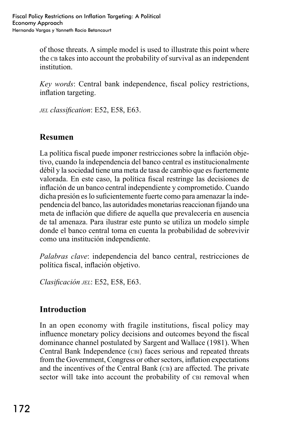of those threats. A simple model is used to illustrate this point where the c<sub>B</sub> takes into account the probability of survival as an independent institution.

*Key words:* Central bank independence, fiscal policy restrictions, inflation targeting.

*jel classification*: E52, E58, E63.

# **Resumen**

La política fiscal puede imponer restricciones sobre la inflación objetivo, cuando la independencia del banco central es institucionalmente débil y la sociedad tiene una meta de tasa de cambio que es fuertemente valorada. En este caso, la política fiscal restringe las decisiones de inflación de un banco central independiente y comprometido. Cuando dicha presión es lo suficientemente fuerte como para amenazar la independencia del banco, las autoridades monetarias reaccionan fijando una meta de inflación que difiere de aquella que prevalecería en ausencia de tal amenaza. Para ilustrar este punto se utiliza un modelo simple donde el banco central toma en cuenta la probabilidad de sobrevivir como una institución independiente.

*Palabras clave*: independencia del banco central, restricciones de política fiscal, inflación objetivo.

*Clasificación jel*: E52, E58, E63.

### **Introduction**

In an open economy with fragile institutions, fiscal policy may influence monetary policy decisions and outcomes beyond the fiscal dominance channel postulated by Sargent and Wallace (1981). When Central Bank Independence (cbi) faces serious and repeated threats from the Government, Congress or other sectors, inflation expectations and the incentives of the Central Bank (CB) are affected. The private sector will take into account the probability of cBI removal when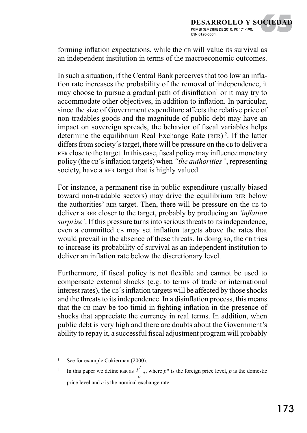forming inflation expectations, while the CB will value its survival as an independent institution in terms of the macroeconomic outcomes.

In such a situation, if the Central Bank perceives that too low an inflation rate increases the probability of the removal of independence, it may choose to pursue a gradual path of disinflation<sup>1</sup> or it may try to accommodate other objectives, in addition to inflation. In particular, since the size of Government expenditure affects the relative price of non-tradables goods and the magnitude of public debt may have an impact on sovereign spreads, the behavior of fiscal variables helps determine the equilibrium Real Exchange Rate (RER)<sup>2</sup>. If the latter differs from society's target, there will be pressure on the CB to deliver a rer close to the target. In this case, fiscal policy may influence monetary policy (the cb´s inflation targets) when *"the authorities"*, representing society, have a RER target that is highly valued.

For instance, a permanent rise in public expenditure (usually biased toward non-tradable sectors) may drive the equilibrium rer below the authorities' RER target. Then, there will be pressure on the CB to deliver a rer closer to the target, probably by producing an *'inflation surprise'*. If this pressure turns into serious threats to its independence, even a committed  $CB$  may set inflation targets above the rates that would prevail in the absence of these threats. In doing so, the CB tries to increase its probability of survival as an independent institution to deliver an inflation rate below the discretionary level.

Furthermore, if fiscal policy is not flexible and cannot be used to compensate external shocks (e.g. to terms of trade or international interest rates), the  $CB$ 's inflation targets will be affected by those shocks and the threats to its independence. In a disinflation process, this means that the CB may be too timid in fighting inflation in the presence of shocks that appreciate the currency in real terms. In addition, when public debt is very high and there are doubts about the Government's ability to repay it, a successful fiscal adjustment program will probably

See for example Cukierman (2000).

<sup>&</sup>lt;sup>2</sup> In this paper we define RER as  $\frac{p^*}{p}e$ , where  $p^*$  is the foreign price level, *p* is the domestic price level and *e* is the nominal exchange rate.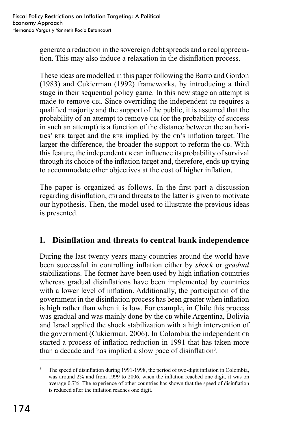generate a reduction in the sovereign debt spreads and a real appreciation. This may also induce a relaxation in the disinflation process.

These ideas are modelled in this paper following the Barro and Gordon (1983) and Cukierman (1992) frameworks, by introducing a third stage in their sequential policy game. In this new stage an attempt is made to remove CBI. Since overriding the independent CB requires a qualified majority and the support of the public, it is assumed that the probability of an attempt to remove CBI (or the probability of success in such an attempt) is a function of the distance between the authorities' RER target and the RER implied by the CB's inflation target. The larger the difference, the broader the support to reform the CB. With this feature, the independent cb can influence its probability of survival through its choice of the inflation target and, therefore, ends up trying to accommodate other objectives at the cost of higher inflation.

The paper is organized as follows. In the first part a discussion regarding disinflation, CBI and threats to the latter is given to motivate our hypothesis. Then, the model used to illustrate the previous ideas is presented.

# **I. Disinflation and threats to central bank independence**

During the last twenty years many countries around the world have been successful in controlling inflation either by *shock* or *gradual* stabilizations. The former have been used by high inflation countries whereas gradual disinflations have been implemented by countries with a lower level of inflation. Additionally, the participation of the government in the disinflation process has been greater when inflation is high rather than when it is low. For example, in Chile this process was gradual and was mainly done by the CB while Argentina, Bolivia and Israel applied the shock stabilization with a high intervention of the government (Cukierman, 2006). In Colombia the independent CB started a process of inflation reduction in 1991 that has taken more than a decade and has implied a slow pace of disinflation<sup>3</sup>.

The speed of disinflation during 1991-1998, the period of two-digit inflation in Colombia, was around 2% and from 1999 to 2006, when the inflation reached one digit, it was on average 0.7%. The experience of other countries has shown that the speed of disinflation is reduced after the inflation reaches one digit.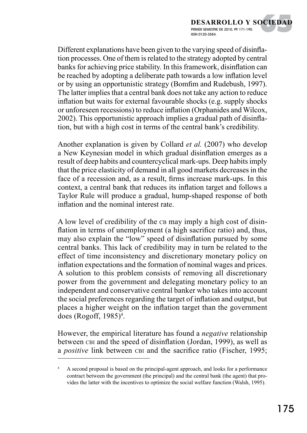Different explanations have been given to the varying speed of disinflation processes. One of them is related to the strategy adopted by central banks for achieving price stability. In this framework, disinflation can be reached by adopting a deliberate path towards a low inflation level or by using an opportunistic strategy (Bomfim and Rudebush, 1997). The latter implies that a central bank does not take any action to reduce inflation but waits for external favourable shocks (e.g. supply shocks or unforeseen recessions) to reduce inflation (Orphanides and Wilcox, 2002). This opportunistic approach implies a gradual path of disinflation, but with a high cost in terms of the central bank's credibility.

Another explanation is given by Collard *et al.* (2007) who develop a New Keynesian model in which gradual disinflation emerges as a result of deep habits and countercyclical mark-ups. Deep habits imply that the price elasticity of demand in all good markets decreases in the face of a recession and, as a result, firms increase mark-ups. In this context, a central bank that reduces its inflation target and follows a Taylor Rule will produce a gradual, hump-shaped response of both inflation and the nominal interest rate.

A low level of credibility of the case may imply a high cost of disinflation in terms of unemployment (a high sacrifice ratio) and, thus, may also explain the "low" speed of disinflation pursued by some central banks. This lack of credibility may in turn be related to the effect of time inconsistency and discretionary monetary policy on inflation expectations and the formation of nominal wages and prices. A solution to this problem consists of removing all discretionary power from the government and delegating monetary policy to an independent and conservative central banker who takes into account the social preferences regarding the target of inflation and output, but places a higher weight on the inflation target than the government does (Rogoff, 1985)4 .

However, the empirical literature has found a *negative* relationship between CBI and the speed of disinflation (Jordan, 1999), as well as a *positive* link between cbi and the sacrifice ratio (Fischer, 1995;

<sup>4</sup> A second proposal is based on the principal-agent approach, and looks for a performance contract between the government (the principal) and the central bank (the agent) that provides the latter with the incentives to optimize the social welfare function (Walsh, 1995).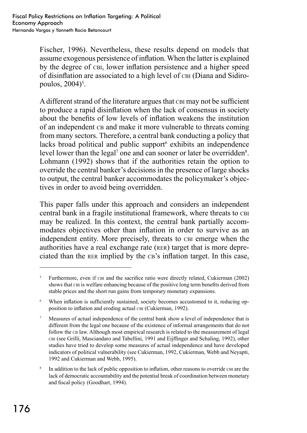Fischer, 1996). Nevertheless, these results depend on models that assume exogenous persistence of inflation. When the latter is explained by the degree of cbi, lower inflation persistence and a higher speed of disinflation are associated to a high level of CBI (Diana and Sidiropoulos, 2004)<sup>5</sup>.

A different strand of the literature argues that CBI may not be sufficient to produce a rapid disinflation when the lack of consensus in society about the benefits of low levels of inflation weakens the institution of an independent ca and make it more vulnerable to threats coming from many sectors. Therefore, a central bank conducting a policy that lacks broad political and public support exhibits an independence level lower than the legal<sup>7</sup> one and can sooner or later be overridden<sup>8</sup>. Lohmann (1992) shows that if the authorities retain the option to override the central banker's decisions in the presence of large shocks to output, the central banker accommodates the policymaker's objectives in order to avoid being overridden.

This paper falls under this approach and considers an independent central bank in a fragile institutional framework, where threats to cbi may be realized. In this context, the central bank partially accommodates objectives other than inflation in order to survive as an independent entity. More precisely, threats to CBI emerge when the authorities have a real exchange rate (rer) target that is more depreciated than the RER implied by the CB's inflation target. In this case,

<sup>&</sup>lt;sup>5</sup> Furthermore, even if cBI and the sacrifice ratio were directly related, Cukierman (2002) shows that cbi is welfare enhancing because of the positive long term benefits derived from stable prices and the short run gains from temporary monetary expansions.

<sup>6</sup> When inflation is sufficiently sustained, society becomes accustomed to it, reducing opposition to inflation and eroding actual CBI (Cukierman, 1992).

<sup>7</sup> Measures of actual independence of the central bank show a level of independence that is different from the legal one because of the existence of informal arrangements that do not follow the cb law. Although most empirical research is related to the measurement of legal cbi (see Grilli, Masciandaro and Tabellini, 1991 and Eijffinger and Schaling, 1992), other studies have tried to develop some measures of actual independence and have developed indicators of political vulnerability (see Cukierman, 1992, Cukierman, Webb and Neyapti, 1992 and Cukierman and Webb, 1995).

<sup>&</sup>lt;sup>8</sup> In addition to the lack of public opposition to inflation, other reasons to override cut are the lack of democratic accountability and the potential break of coordination between monetary and fiscal policy (Goodhart, 1994).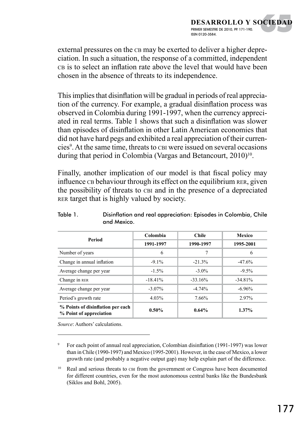external pressures on the CB may be exerted to deliver a higher depreciation. In such a situation, the response of a committed, independent CB is to select an inflation rate above the level that would have been chosen in the absence of threats to its independence.

This implies that disinflation will be gradual in periods of real appreciation of the currency. For example, a gradual disinflation process was observed in Colombia during 1991-1997, when the currency appreciated in real terms. Table 1 shows that such a disinflation was slower than episodes of disinflation in other Latin American economies that did not have hard pegs and exhibited a real appreciation of their currencies<sup>9</sup>. At the same time, threats to cun were issued on several occasions during that period in Colombia (Vargas and Betancourt, 2010)<sup>10</sup>.

Finally, another implication of our model is that fiscal policy may influence co behaviour through its effect on the equilibrium RER, given the possibility of threats to cut and in the presence of a depreciated rer target that is highly valued by society.

| Period                                                       | Colombia  | <b>Chile</b> | Mexico    |
|--------------------------------------------------------------|-----------|--------------|-----------|
|                                                              | 1991-1997 | 1990-1997    | 1995-2001 |
| Number of years                                              | 6         | 7            | 6         |
| Change in annual inflation                                   | $-9.1\%$  | $-21.3%$     | $-47.6%$  |
| Average change per year                                      | $-1.5\%$  | $-3.0\%$     | $-9.5%$   |
| Change in RER                                                | $-18.41%$ | $-33.16%$    | $-34.81%$ |
| Average change per year                                      | $-3.07\%$ | $-4.74%$     | $-6.96\%$ |
| Period's growth rate                                         | 4.03%     | 7.66%        | 2.97%     |
| % Points of disinflation per each<br>% Point of appreciation | $0.50\%$  | 0.64%        | $1.37\%$  |

#### Table 1. Disinflation and real appreciation: Episodes in Colombia, Chile and Mexico.

*Source*: Authors' calculations.

<sup>9</sup> For each point of annual real appreciation, Colombian disinflation (1991-1997) was lower than in Chile (1990-1997) and Mexico (1995-2001). However, in the case of Mexico, a lower growth rate (and probably a negative output gap) may help explain part of the difference.

<sup>10</sup> Real and serious threats to CBI from the government or Congress have been documented for different countries, even for the most autonomous central banks like the Bundesbank (Siklos and Bohl, 2005).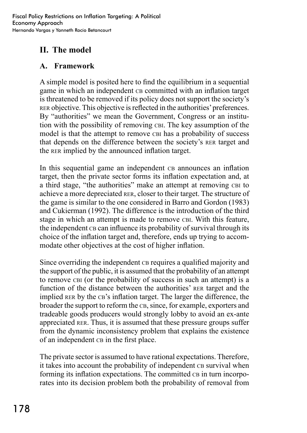# **II. The model**

### **A. Framework**

A simple model is posited here to find the equilibrium in a sequential game in which an independent conconducted with an inflation target is threatened to be removed if its policy does not support the society's rer objective. This objective is reflected in the authorities' preferences. By "authorities" we mean the Government, Congress or an institution with the possibility of removing cbi. The key assumption of the model is that the attempt to remove CBI has a probability of success that depends on the difference between the society's rer target and the rer implied by the announced inflation target.

In this sequential game an independent common and inflation target, then the private sector forms its inflation expectation and, at a third stage, "the authorities" make an attempt at removing cbi to achieve a more depreciated rer, closer to their target. The structure of the game is similar to the one considered in Barro and Gordon (1983) and Cukierman (1992). The difference is the introduction of the third stage in which an attempt is made to remove CBI. With this feature, the independent cb can influence its probability of survival through its choice of the inflation target and, therefore, ends up trying to accommodate other objectives at the cost of higher inflation.

Since overriding the independent consequires a qualified majority and the support of the public, it is assumed that the probability of an attempt to remove cbi (or the probability of success in such an attempt) is a function of the distance between the authorities' RER target and the implied RER by the CB's inflation target. The larger the difference, the broader the support to reform the CB, since, for example, exporters and tradeable goods producers would strongly lobby to avoid an ex-ante appreciated rer. Thus, it is assumed that these pressure groups suffer from the dynamic inconsistency problem that explains the existence of an independent cas in the first place.

The private sector is assumed to have rational expectations. Therefore, it takes into account the probability of independent consurvival when forming its inflation expectations. The committed ca in turn incorporates into its decision problem both the probability of removal from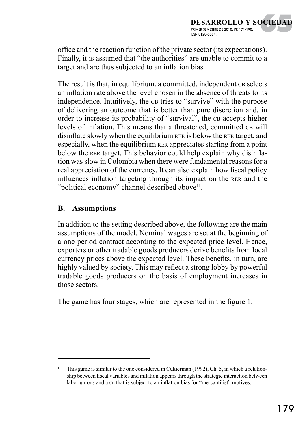office and the reaction function of the private sector (its expectations). Finally, it is assumed that "the authorities" are unable to commit to a target and are thus subjected to an inflation bias.

The result is that, in equilibrium, a committed, independent conselects an inflation rate above the level chosen in the absence of threats to its independence. Intuitively, the ca tries to "survive" with the purpose of delivering an outcome that is better than pure discretion and, in order to increase its probability of "survival", the ca accepts higher levels of inflation. This means that a threatened, committed ca will disinflate slowly when the equilibrium rer is below the rer target, and especially, when the equilibrium rer appreciates starting from a point below the rer target. This behavior could help explain why disinflation was slow in Colombia when there were fundamental reasons for a real appreciation of the currency. It can also explain how fiscal policy influences inflation targeting through its impact on the rer and the "political economy" channel described above<sup>11</sup>.

### **B. Assumptions**

In addition to the setting described above, the following are the main assumptions of the model. Nominal wages are set at the beginning of a one-period contract according to the expected price level. Hence, exporters or other tradable goods producers derive benefits from local currency prices above the expected level. These benefits, in turn, are highly valued by society. This may reflect a strong lobby by powerful tradable goods producers on the basis of employment increases in those sectors.

The game has four stages, which are represented in the figure 1.

This game is similar to the one considered in Cukierman (1992), Ch. 5, in which a relationship between fiscal variables and inflation appears through the strategic interaction between labor unions and a ca that is subject to an inflation bias for "mercantilist" motives.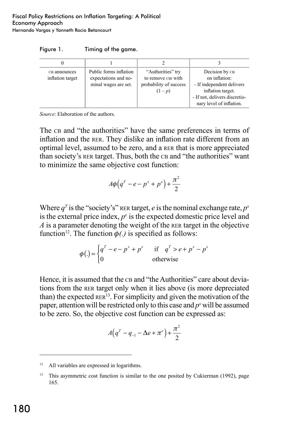| Figure 1. | Timing of the game. |  |
|-----------|---------------------|--|
|           |                     |  |

| CB announces<br>inflation target | Public forms inflation<br>expectations and no-<br>minal wages are set. | "Authorities" try<br>to remove CBI with<br>probability of success<br>$(1-p)$ | Decision by CB<br>on inflation:<br>- If independent delivers<br>inflation target.<br>- If not, delivers discretio-<br>nary level of inflation. |
|----------------------------------|------------------------------------------------------------------------|------------------------------------------------------------------------------|------------------------------------------------------------------------------------------------------------------------------------------------|

*Source*: Elaboration of the authors.

The ca and "the authorities" have the same preferences in terms of inflation and the rer. They dislike an inflation rate different from an optimal level, assumed to be zero, and a rer that is more appreciated than society's RER target. Thus, both the CB and "the authorities" want to minimize the same objective cost function:

$$
A\phi\big(q^T-e-p^x+p^e\big)+\frac{\pi^2}{2}
$$

Where  $q<sup>T</sup>$  is the "society's" rerate target, *e* is the nominal exchange rate,  $p<sup>x</sup>$ is the external price index,  $p<sup>e</sup>$  is the expected domestic price level and *A* is a parameter denoting the weight of the rer target in the objective function<sup>12</sup>. The function  $\phi(.)$  is specified as follows:

$$
\phi(.) = \begin{cases} q^T - e - p^x + p^e & \text{if } q^T > e + p^x - p^e \\ 0 & \text{otherwise} \end{cases}
$$

Hence, it is assumed that the c<sub>B</sub> and "the Authorities" care about deviations from the rer target only when it lies above (is more depreciated than) the expected  $RER^{13}$ . For simplicity and given the motivation of the paper, attention will be restricted only to this case and  $p<sup>x</sup>$  will be assumed to be zero. So, the objective cost function can be expressed as:

$$
A(q^T - q_{-1} - \Delta e + \pi^e) + \frac{\pi^2}{2}
$$

<sup>&</sup>lt;sup>12</sup> All variables are expressed in logarithms.

<sup>&</sup>lt;sup>13</sup> This asymmetric cost function is similar to the one posited by Cukierman (1992), page 165.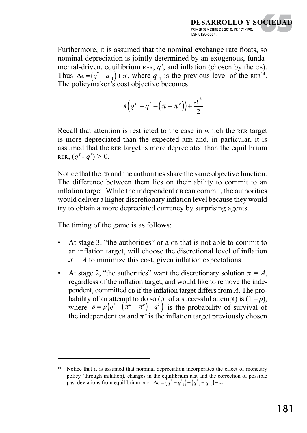Furthermore, it is assumed that the nominal exchange rate floats, so nominal depreciation is jointly determined by an exogenous, fundamental-driven, equilibrium RER,  $q^*$ , and inflation (chosen by the  $CB$ ). Thus  $\Delta e = (q^* - q_{-1}) + \pi$ , where  $q_{-1}$  is the previous level of the RER<sup>14</sup>. The policymaker's cost objective becomes:

$$
A(q^{\scriptscriptstyle T}-q^{\ast }\!\pi^{\scriptscriptstyle e})\bigg)+\frac{\pi^2}{2}
$$

Recall that attention is restricted to the case in which the rer target is more depreciated than the expected rer and, in particular, it is assumed that the rer target is more depreciated than the equilibrium  $RER, (q<sup>T</sup> - q<sup>*</sup>) > 0.$ 

Notice that the c<sub>B</sub> and the authorities share the same objective function. The difference between them lies on their ability to commit to an inflation target. While the independent cb can commit, the authorities would deliver a higher discretionary inflation level because they would try to obtain a more depreciated currency by surprising agents.

The timing of the game is as follows:

- At stage 3, "the authorities" or a  $CB$  that is not able to commit to an inflation target, will choose the discretional level of inflation  $\pi = A$  to minimize this cost, given inflation expectations.
- At stage 2, "the authorities" want the discretionary solution  $\pi = A$ , regardless of the inflation target, and would like to remove the independent, committed ca if the inflation target differs from *A*. The probability of an attempt to do so (or of a successful attempt) is  $(1-p)$ , where  $p = p(q^* + (\pi^a - \pi^e) - q^{\tilde{r}})$  is the probability of survival of the independent  $CB$  and  $\pi^a$  is the inflation target previously chosen

<sup>&</sup>lt;sup>14</sup> Notice that it is assumed that nominal depreciation incorporates the effect of monetary policy (through inflation), changes in the equilibrium rer and the correction of possible past deviations from equilibrium rer:  $\Delta e = (q^* - q_{-1}^*) + (q_{-1}^* - q_{-1}) + \pi$ .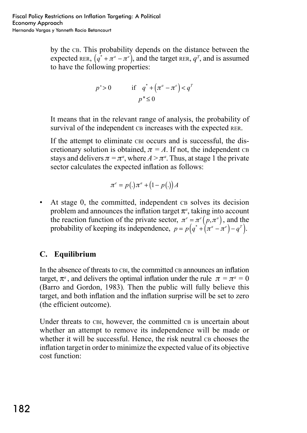by the cb. This probability depends on the distance between the expected RER,  $(q^* + \pi^* - \pi^*)$ , and the target RER,  $q^T$ , and is assumed to have the following properties:

$$
p' > 0 \qquad \text{if} \quad q^* + \left(\pi^a - \pi^e\right) < q^T
$$
\n
$$
p'' \le 0
$$

It means that in the relevant range of analysis, the probability of survival of the independent ca increases with the expected RER.

If the attempt to eliminate CBI occurs and is successful, the discretionary solution is obtained,  $\pi = A$ . If not, the independent ca stays and delivers  $\pi = \pi^a$ , where  $A > \pi^a$ . Thus, at stage 1 the private sector calculates the expected inflation as follows:

$$
\pi^e = p(.)\pi^a + (1 - p(.))A
$$

 $\bullet$  At stage 0, the committed, independent cas solves its decision problem and announces the inflation target  $\pi^{\alpha}$ , taking into account the reaction function of the private sector,  $\pi^e = \pi^e(p, \pi^a)$ , and the probability of keeping its independence,  $p = p(q^* + \bar{x}^a - \bar{x}^e) - q^T$ .

#### **C. Equilibrium**

In the absence of threats to CBI, the committed CB announces an inflation target,  $\pi^a$ , and delivers the optimal inflation under the rule  $\pi = \pi^a = 0$ (Barro and Gordon, 1983)*.* Then the public will fully believe this target, and both inflation and the inflation surprise will be set to zero (the efficient outcome).

Under threats to CBI, however, the committed CB is uncertain about whether an attempt to remove its independence will be made or whether it will be successful. Hence, the risk neutral cb chooses the inflation targetin order to minimize the expected value of its objective cost function: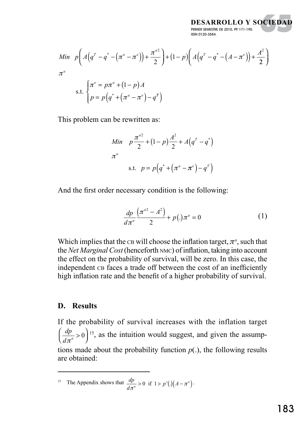**DESARROLLO Y SOCIEDAD** PRIMER SEMESTRE DE 2010, PP. 171-190. ISSN 0120-3584.

OCIEDAD

Min 
$$
p\left(A(q^T - q^* - (\pi^a - \pi^e)) + \frac{\pi^{a^2}}{2}\right) + (1-p)\left(A(q^T - q^* - (A - \pi^e)) + \frac{A^2}{2}\right)
$$
  
 $\pi^a$   
s.t. 
$$
\begin{cases} \pi^e = p\pi^a + (1-p)A \\ p = p\left(q^* + (\pi^a - \pi^e) - q^T\right) \end{cases}
$$

This problem can be rewritten as:

Min 
$$
p \frac{\pi^{a^2}}{2} + (1-p)\frac{A^2}{2} + A(q^T - q^*)
$$
  
 $\pi^a$   
s.t.  $p = p(q^* + (\pi^a - \pi^e) - q^T)$ 

And the first order necessary condition is the following:

$$
\frac{dp}{d\pi^a} \frac{\left(\pi^{a^2} - A^2\right)}{2} + p(.)\pi^a = 0 \tag{1}
$$

Which implies that the  $CB$  will choose the inflation target,  $\pi^a$ , such that the *Net Marginal Cost* (henceforth nmc) of inflation, taking into account the effect on the probability of survival, will be zero. In this case, the independent ca faces a trade off between the cost of an inefficiently high inflation rate and the benefit of a higher probability of survival.

#### **D. Results**

If the probability of survival increases with the inflation target *dp*  $d\pi^a$  $\left(\frac{dp}{d\pi^a}>0\right)^{15}$ , as the intuition would suggest, and given the assumptions made about the probability function  $p(.)$ , the following results are obtained:

<sup>15</sup> The Appendix shows that  $\frac{dp}{d\pi^a} > 0$  if  $1 > p'(.) (A - \pi^a)$ .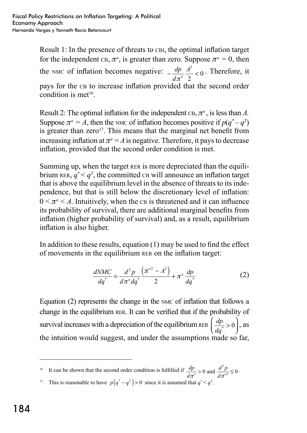Result 1: In the presence of threats to CBI, the optimal inflation target for the independent  $CB, \pi^a$ , is greater than zero. Suppose  $\pi^a = 0$ , then the nmc of inflation becomes negative:  $-\frac{dp}{l} \frac{A^2}{r^2}$ *d A*  $\pi^a$ 2 2  $<sub>0</sub>$ . Therefore, it</sub> pays for the ca to increase inflation provided that the second order condition is met<sup>16</sup>.

Result 2: The optimal inflation for the independent  $CB, \pi^a$ , is less than *A*. Suppose  $\pi^a = A$ , then the nmc of inflation becomes positive if  $p(q^* - q^T)$ is greater than zero<sup>17</sup>. This means that the marginal net benefit from increasing inflation at  $\pi^a = A$  is negative. Therefore, it pays to decrease inflation, provided that the second order condition is met.

Summing up, when the target RER is more depreciated than the equilibrium  $\text{RER}, q^* < q^T$ , the committed can will announce an inflation target that is above the equilibrium level in the absence of threats to its independence, but that is still below the discretionary level of inflation:  $0 \leq \pi^a \leq A$ . Intuitively, when the c<sub>B</sub> is threatened and it can influence its probability of survival, there are additional marginal benefits from inflation (higher probability of survival) and, as a result, equilibrium inflation is also higher.

In addition to these results, equation (1) may be used to find the effect of movements in the equilibrium rer on the inflation target:

$$
\frac{dNMC}{dq^*} = \frac{d^2 p}{d\pi^a dq^*} \frac{\left(\pi^{a^2} - A^2\right)}{2} + \pi^a \frac{dp}{dq^*}
$$
(2)

Equation (2) represents the change in the nmc of inflation that follows a change in the equilibrium rer. It can be verified that if the probability of survival increases with a depreciation of the equilibrium RER  $\left(\frac{dp}{dq^*}\right)$  $\overline{a}$  $\left(0\right)$ , as the intuition would suggest, and under the assumptions made so far,

<sup>16</sup> It can be shown that the second order condition is fulfilled if  $\frac{dp}{dt}$  $\frac{dp}{\pi^a} > 0$  and  $\frac{d^2p}{d\pi^{a^2}} \le 0$ .

*d* <sup>17</sup> This is reasonable to have  $p(q^* - q^T) > 0$  since it is assumed that  $q^* < q^T$ .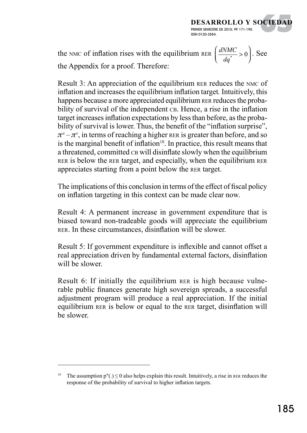the NMC of inflation rises with the equilibrium RER  $\left(\frac{dNMC}{dq^*}\right)$  $\overline{a}$  $\left( 0\right)$ . See the Appendix for a proof. Therefore:

**DESARROLLO Y SOCIEDAD**

OCIEDAD

PRIMER SEMESTRE DE 2010, PP. 171-190.

ISSN 0120-3584.

Result 3: An appreciation of the equilibrium RER reduces the NMC of inflation and increases the equilibrium inflation target*.* Intuitively, this happens because a more appreciated equilibrium RER reduces the probability of survival of the independent cb. Hence, a rise in the inflation target increases inflation expectations by less than before, as the probability of survival is lower. Thus, the benefit of the "inflation surprise",  $\pi^a - \pi^e$ , in terms of reaching a higher reral is greater than before, and so is the marginal benefit of inflation $18$ . In practice, this result means that a threatened, committed ca will disinflate slowly when the equilibrium rer is below the rer target, and especially, when the equilibrium rer appreciates starting from a point below the rer target.

The implications of this conclusion in terms of the effect of fiscal policy on inflation targeting in this context can be made clear now.

Result 4: A permanent increase in government expenditure that is biased toward non-tradeable goods will appreciate the equilibrium rer. In these circumstances, disinflation will be slower.

Result 5: If government expenditure is inflexible and cannot offset a real appreciation driven by fundamental external factors, disinflation will be slower.

Result 6: If initially the equilibrium RER is high because vulnerable public finances generate high sovereign spreads, a successful adjustment program will produce a real appreciation. If the initial equilibrium rer is below or equal to the rer target, disinflation will be slower.

<sup>&</sup>lt;sup>18</sup> The assumption p"(.)  $\leq$  0 also helps explain this result. Intuitively, a rise in RER reduces the response of the probability of survival to higher inflation targets.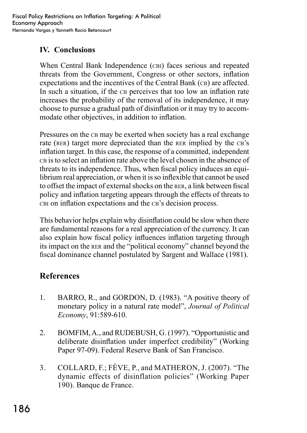## **IV. Conclusions**

When Central Bank Independence (CBI) faces serious and repeated threats from the Government, Congress or other sectors, inflation expectations and the incentives of the Central Bank (CB) are affected. In such a situation, if the cap perceives that too low an inflation rate increases the probability of the removal of its independence, it may choose to pursue a gradual path of disinflation or it may try to accommodate other objectives, in addition to inflation.

Pressures on the CB may be exerted when society has a real exchange rate (RER) target more depreciated than the RER implied by the CB's inflation target. In this case, the response of a committed, independent ch is to select an inflation rate above the level chosen in the absence of threats to its independence. Thus, when fiscal policy induces an equilibrium real appreciation, or when it is so inflexible that cannot be used to offset the impact of external shocks on the rer, a link between fiscal policy and inflation targeting appears through the effects of threats to cbi on inflation expectations and the cb's decision process.

This behavior helps explain why disinflation could be slow when there are fundamental reasons for a real appreciation of the currency. It can also explain how fiscal policy influences inflation targeting through its impact on the rer and the "political economy" channel beyond the fiscal dominance channel postulated by Sargent and Wallace (1981).

# **References**

- 1. BARRO, R., and GORDON, D. (1983). "A positive theory of monetary policy in a natural rate model", *Journal of Political Economy*, 91:589-610.
- 2. BOMFIM, A., and RUDEBUSH, G. (1997). "Opportunistic and deliberate disinflation under imperfect credibility" (Working Paper 97-09). Federal Reserve Bank of San Francisco.
- 3. COLLARD, F.; FÈVE, P., and MATHERON, J. (2007). "The dynamic effects of disinflation policies" (Working Paper 190). Banque de France.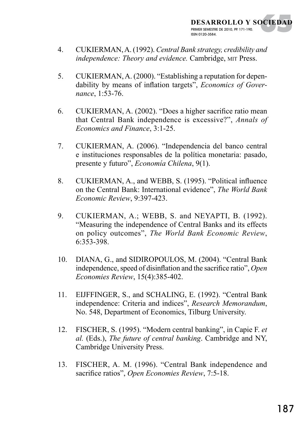- 4. CUKIERMAN, A. (1992). *Central Bank strategy, credibility and independence: Theory and evidence.* Cambridge, mit Press.
- 5. CUKIERMAN, A. (2000). "Establishing a reputation for dependability by means of inflation targets", *Economics of Governance*, 1:53-76.
- 6. CUKIERMAN, A. (2002). "Does a higher sacrifice ratio mean that Central Bank independence is excessive?", *Annals of Economics and Finance*, 3:1-25.
- 7. CUKIERMAN, A. (2006). "Independencia del banco central e instituciones responsables de la política monetaria: pasado, presente y futuro", *Economía Chilena*, 9(1).
- 8. CUKIERMAN, A., and WEBB, S. (1995). "Political influence on the Central Bank: International evidence", *The World Bank Economic Review*, 9:397-423.
- 9. CUKIERMAN, A.; WEBB, S. and NEYAPTI, B. (1992). "Measuring the independence of Central Banks and its effects on policy outcomes", *The World Bank Economic Review*, 6:353-398.
- 10. DIANA, G., and SIDIROPOULOS, M. (2004). "Central Bank independence, speed of disinflation and the sacrifice ratio", *Open Economies Review*, 15(4):385-402.
- 11. EIJFFINGER, S., and SCHALING, E. (1992). "Central Bank independence: Criteria and indices", *Research Memorandum*, No. 548, Department of Economics, Tilburg University.
- 12. FISCHER, S. (1995). "Modern central banking", in Capie F. *et al.* (Eds.), *The future of central banking*. Cambridge and NY, Cambridge University Press.
- 13. FISCHER, A. M. (1996). "Central Bank independence and sacrifice ratios", *Open Economies Review*, 7:5-18.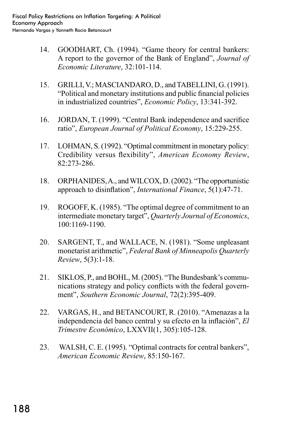- 14. GOODHART, Ch. (1994). "Game theory for central bankers: A report to the governor of the Bank of England", *Journal of Economic Literature*, 32:101-114.
- 15. GRILLI, V.; MASCIANDARO, D., and TABELLINI, G. (1991). "Political and monetary institutions and public financial policies in industrialized countries", *Economic Policy*, 13:341-392.
- 16. JORDAN, T. (1999). "Central Bank independence and sacrifice ratio", *European Journal of Political Economy*, 15:229-255.
- 17. LOHMAN, S. (1992). "Optimal commitment in monetary policy: Credibility versus flexibility", *American Economy Review*, 82:273-286.
- 18. ORPHANIDES, A., and WILCOX, D. (2002). "The opportunistic approach to disinflation", *International Finance*, 5(1):47-71.
- 19. ROGOFF, K. (1985). "The optimal degree of commitment to an intermediate monetary target", *Quarterly Journal of Economics*, 100:1169-1190.
- 20. SARGENT, T., and WALLACE, N. (1981). "Some unpleasant monetarist arithmetic", *Federal Bank of Minneapolis Quarterly Review*, 5(3):1-18.
- 21. SIKLOS, P., and BOHL, M. (2005). "The Bundesbank's communications strategy and policy conflicts with the federal government", *Southern Economic Journal*, 72(2):395-409.
- 22. VARGAs, H., and BETANCOURT, R. (2010). "Amenazas a la independencia del banco central y su efecto en la inflación", *El Trimestre Económico*, LXXVII(1, 305):105-128.
- 23. WALSH, C. E. (1995). "Optimal contracts for central bankers", *American Economic Review*, 85:150-167.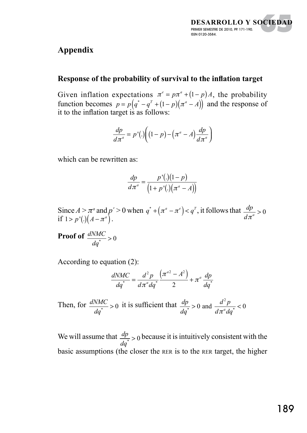#### **DESARROLLO Y SOCIEDAD** PRIMER SEMESTRE DE 2010, PP. 171-190. ISSN 0120-3584. OCIEDAD

# **Appendix**

#### **Response of the probability of survival to the inflation target**

Given inflation expectations  $\pi^e = p\pi^a + (1-p)A$ , the probability function becomes  $p = p(q^* - q^T + (1 - p)(\pi^a - A))$  and the response of it to the inflation target is as follows:

$$
\frac{dp}{d\pi^a} = p'(.) \bigg( (1-p) - \left( \pi^a - A \right) \frac{dp}{d\pi^a} \bigg)
$$

which can be rewritten as:

$$
\frac{dp}{d\pi^a} = \frac{p'(.) (1-p)}{\left(1+p'(.) \left(\pi^a - A\right)\right)}
$$

Since  $A > \pi^a$  and  $p' > 0$  when  $q^* + (\pi^a - \pi^e) < q^T$ , it follows that  $\frac{dp}{dt}$  $\frac{dp}{d\pi^a} > 0$ if  $1 > p'$ (.) $(A - \pi^a)$ .

**Proof of**  $\frac{dNMC}{dq^*} > 0$ 

According to equation (2):

$$
\frac{dNMC}{dq^*} = \frac{d^2p}{d\pi^a dq^*} \frac{\left(\pi^{a2} - A^2\right)}{2} + \pi^a \frac{dp}{dq^*}
$$

Then, for  $\frac{dNMC}{dq^*} > 0$  it is sufficient that  $\frac{dp}{dq^*}$  $\frac{d^2 p}{d \pi^a dq^*}$  < 0 and  $\frac{d^2 p}{d \pi^a dq^*}$  < 0 2 and  $\pi$ 

We will assume that  $\frac{dp}{dq^*} > 0$  because it is intuitively consistent with the basic assumptions (the closer the rer is to the rer target, the higher